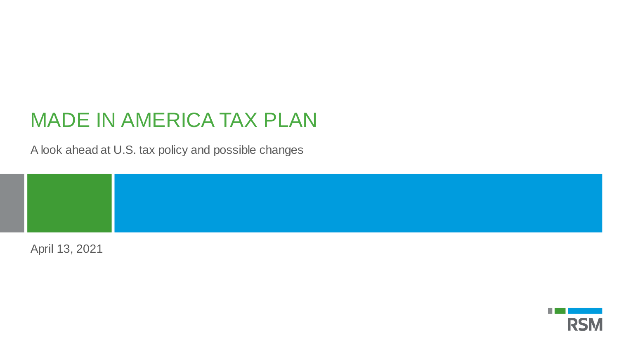## MADE IN AMERICA TAX PLAN

A look ahead at U.S. tax policy and possible changes

April 13, 2021

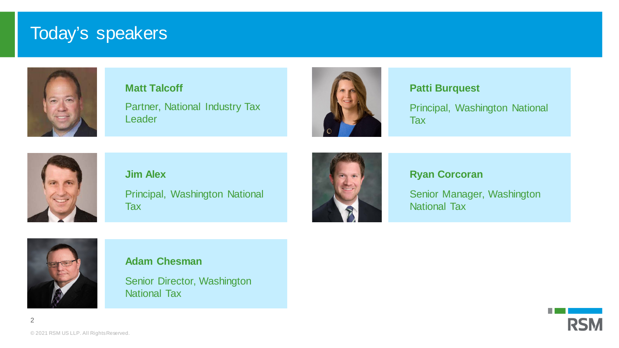### Today's speakers



## **Matt Talcoff**

Partner, National Industry Tax **Leader** 



### **Patti Burquest**

Principal, Washington National Tax



**Jim Alex** Principal, Washington National Tax



### **Ryan Corcoran**

Senior Manager, Washington National Tax



### **Adam Chesman**

Senior Director, Washington National Tax

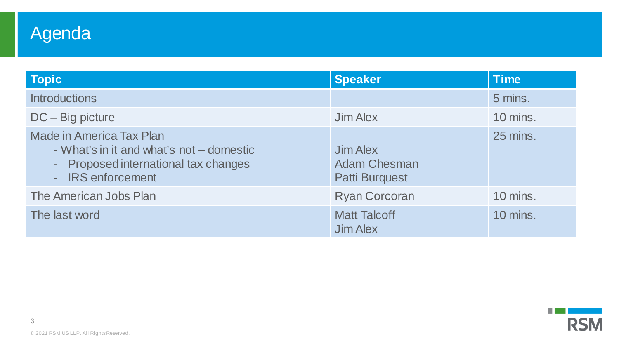## Agenda

| <b>Topic</b>                                                                                                                             | <b>Speaker</b>                                           | <b>Time</b> |
|------------------------------------------------------------------------------------------------------------------------------------------|----------------------------------------------------------|-------------|
| <b>Introductions</b>                                                                                                                     |                                                          | 5 mins.     |
| $DC - Big$ picture                                                                                                                       | Jim Alex                                                 | 10 mins.    |
| <b>Made in America Tax Plan</b><br>- What's in it and what's not – domestic<br>- Proposed international tax changes<br>- IRS enforcement | Jim Alex<br><b>Adam Chesman</b><br><b>Patti Burquest</b> | 25 mins.    |
| The American Jobs Plan                                                                                                                   | <b>Ryan Corcoran</b>                                     | 10 mins.    |
| The last word                                                                                                                            | <b>Matt Talcoff</b><br><b>Jim Alex</b>                   | 10 mins.    |

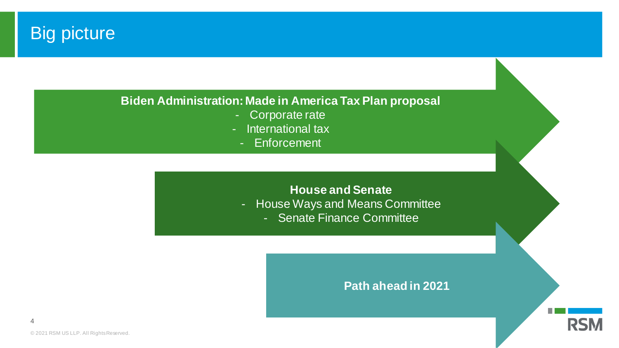## **Big picture**

### **Biden Administration: Made in America Tax Plan proposal**

- Corporate rate
- International tax
	- Enforcement

### **House and Senate**

- House Ways and Means Committee
	- Senate Finance Committee

### **Path ahead in 2021**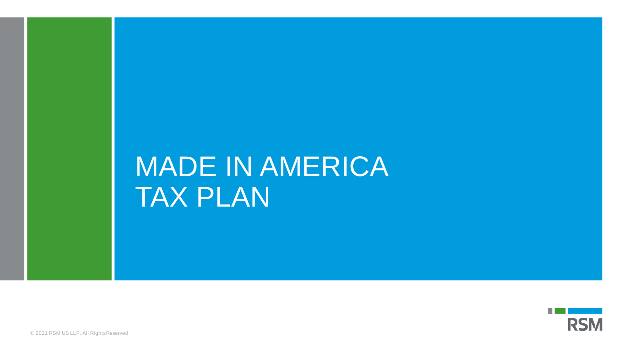# MADE IN AMERICA TAX PLAN

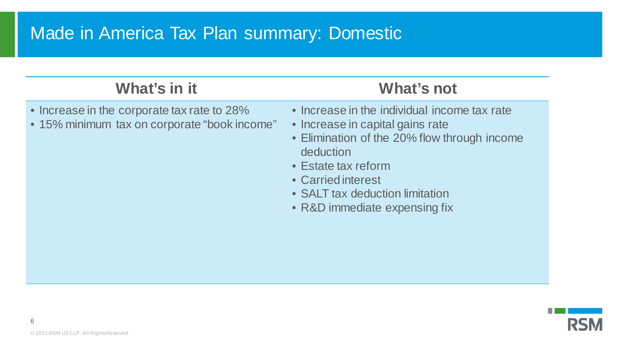## Made in America Tax Plan summary: Domestic

### **What's in it What's not**

- Increase in the corporate tax rate to 28%
- 15% minimum tax on corporate "book income"

- Increase in the individual income tax rate
- Increase in capital gains rate
- Elimination of the 20% flow through income deduction
- Estate tax reform
- Carried interest
- SALT tax deduction limitation
- R&D immediate expensing fix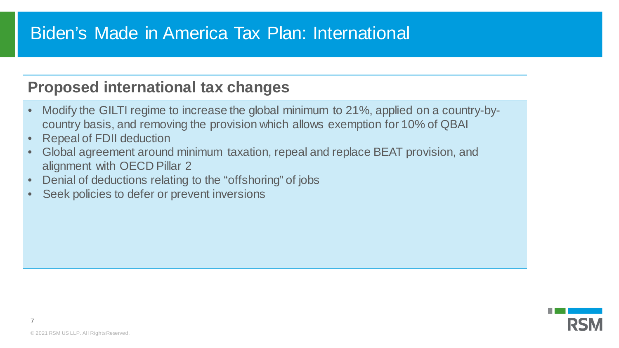## Biden's Made in America Tax Plan: International

### **Proposed international tax changes**

- Modify the GILTI regime to increase the global minimum to 21%, applied on a country-bycountry basis, and removing the provision which allows exemption for 10% of QBAI
- Repeal of FDII deduction
- Global agreement around minimum taxation, repeal and replace BEAT provision, and alignment with OECD Pillar 2
- Denial of deductions relating to the "offshoring" of jobs
- Seek policies to defer or prevent inversions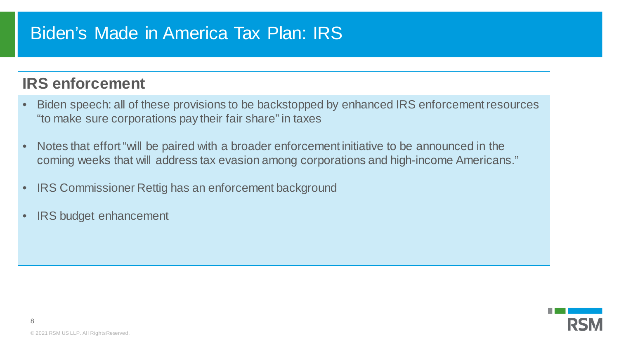## Biden's Made in America Tax Plan: IRS

### **IRS enforcement**

- Biden speech: all of these provisions to be backstopped by enhanced IRS enforcement resources "to make sure corporations pay their fair share" in taxes
- Notes that effort "will be paired with a broader enforcement initiative to be announced in the coming weeks that will address tax evasion among corporations and high-income Americans."
- IRS Commissioner Rettig has an enforcement background
- IRS budget enhancement

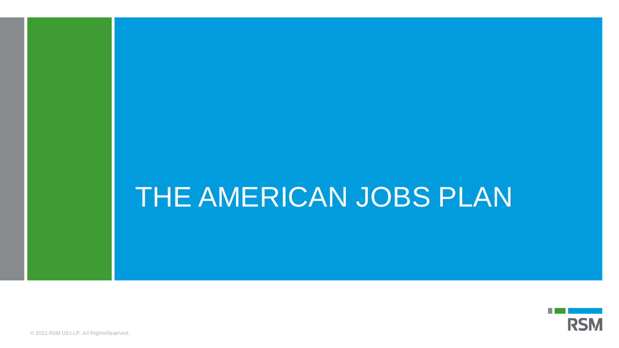# THE AMERICAN JOBS PLAN

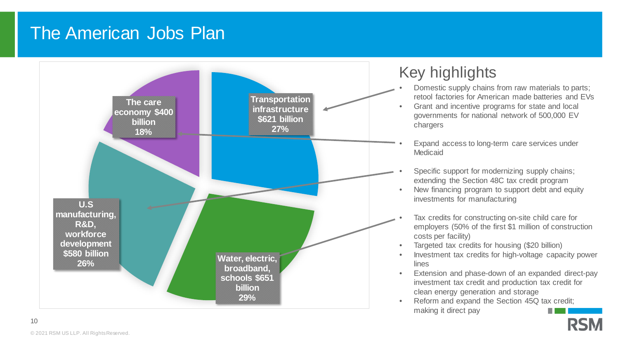## The American Jobs Plan



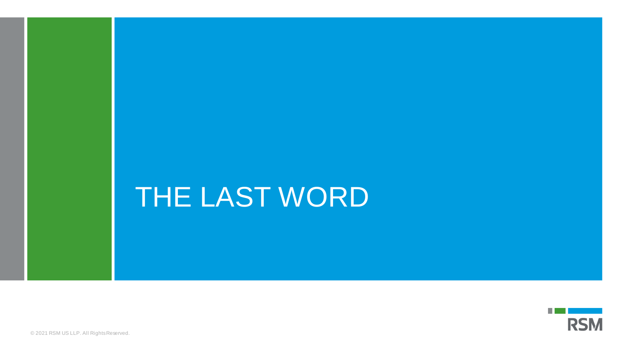# THE LAST WORD

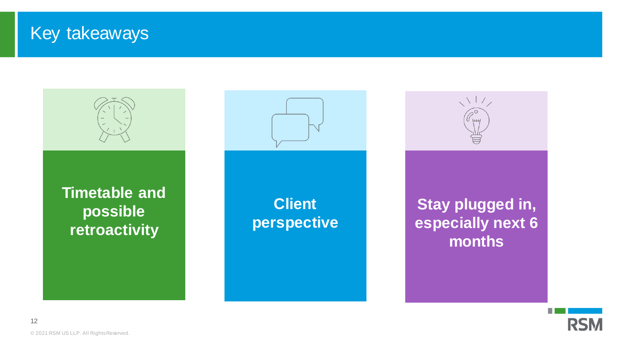### Key takeaways



![](_page_11_Picture_2.jpeg)

© 2021 RSM US LLP. All Rights Reserved.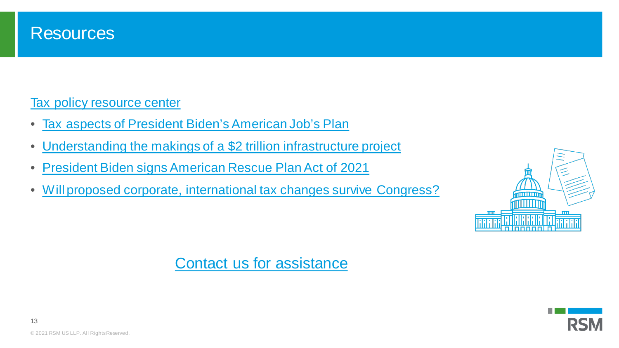![](_page_12_Picture_0.jpeg)

### [Tax policy resource center](https://rsmus.com/what-we-do/services/tax/featured-topics/tax-reform.html)

- [Tax aspects of President Biden's American Job's Plan](https://rsmus.com/what-we-do/services/tax/federal-tax/tax-aspects-of-president-bidens-american-jobs-plan.html)
- [Understanding the makings of a \\$2 trillion infrastructure project](https://rsmus.com/economics/economic-insights/understanding-the-makings-of-a-2-trillion-infrastructure-project.html?intcid=int:hpsl1:d01)
- [President Biden signs American Rescue Plan Act of 2021](https://rsmus.com/what-we-do/services/tax/federal-tax/president-biden-signs-american-rescue-plan-act-of-2021.html)
- [Will proposed corporate, international tax changes survive Congress?](https://rsmus.com/what-we-do/services/tax/federal-tax/will-proposed-corporate-international-tax-changes-survive-congre.html)

![](_page_12_Picture_6.jpeg)

### [Contact us for assistance](https://rsmus.com/what-we-do/services/tax/additional-tax-resources/contact-our-tax-professionals.html)

![](_page_12_Picture_8.jpeg)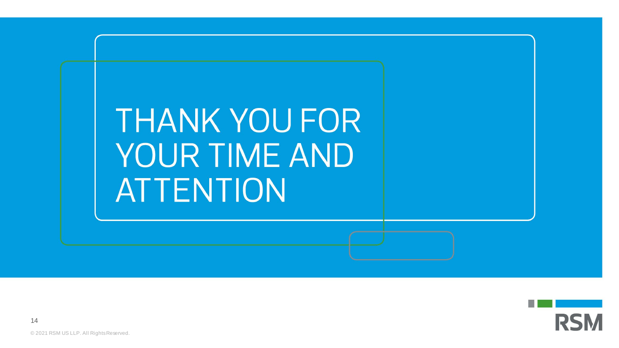![](_page_13_Picture_0.jpeg)

![](_page_13_Picture_1.jpeg)